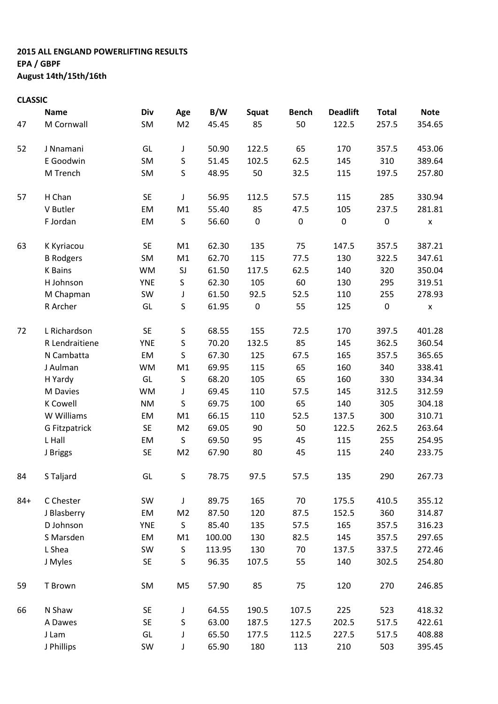## 2015 ALL ENGLAND POWERLIFTING RESULTS EPA / GBPF August 14th/15th/16th

## CLASSIC

|       | <b>Name</b>          | Div        | Age            | B/W    | Squat     | <b>Bench</b> | <b>Deadlift</b> |                                                                                                                                                                                                                                                                                        | <b>Note</b> |
|-------|----------------------|------------|----------------|--------|-----------|--------------|-----------------|----------------------------------------------------------------------------------------------------------------------------------------------------------------------------------------------------------------------------------------------------------------------------------------|-------------|
| 47    | M Cornwall           | SM         | M <sub>2</sub> | 45.45  | 85        | 50           | 122.5           | 257.5                                                                                                                                                                                                                                                                                  | 354.65      |
| 52    | J Nnamani            | GL         | J              | 50.90  | 122.5     | 65           | 170             | 357.5                                                                                                                                                                                                                                                                                  | 453.06      |
|       | E Goodwin            | SM         | $\sf S$        | 51.45  | 102.5     | 62.5         | 145             | <b>Total</b><br>310<br>197.5<br>285<br>237.5<br>$\pmb{0}$<br>357.5<br>322.5<br>320<br>295<br>255<br>$\pmb{0}$<br>397.5<br>362.5<br>357.5<br>340<br>330<br>312.5<br>305<br>300<br>262.5<br>255<br>240<br>290<br>410.5<br>360<br>357.5<br>357.5<br>337.5<br>302.5<br>270<br>523<br>517.5 | 389.64      |
|       | M Trench             | SM         | $\sf S$        | 48.95  | 50        | 32.5         | 115             |                                                                                                                                                                                                                                                                                        | 257.80      |
| 57    | H Chan               | <b>SE</b>  | J              | 56.95  | 112.5     | 57.5         | 115             |                                                                                                                                                                                                                                                                                        | 330.94      |
|       | V Butler             | EM         | M1             | 55.40  | 85        | 47.5         | 105             |                                                                                                                                                                                                                                                                                        | 281.81      |
|       | F Jordan             | EM         | S              | 56.60  | $\pmb{0}$ | $\pmb{0}$    | $\pmb{0}$       |                                                                                                                                                                                                                                                                                        | X           |
| 63    | K Kyriacou           | <b>SE</b>  | M1             | 62.30  | 135       | 75           | 147.5           | 517.5<br>503                                                                                                                                                                                                                                                                           | 387.21      |
|       | <b>B</b> Rodgers     | SM         | M1             | 62.70  | 115       | 77.5         | 130             |                                                                                                                                                                                                                                                                                        | 347.61      |
|       | <b>K</b> Bains       | <b>WM</b>  | SJ             | 61.50  | 117.5     | 62.5         | 140             |                                                                                                                                                                                                                                                                                        | 350.04      |
|       | H Johnson            | <b>YNE</b> | S              | 62.30  | 105       | 60           | 130             |                                                                                                                                                                                                                                                                                        | 319.51      |
|       | M Chapman            | SW         | J              | 61.50  | 92.5      | 52.5         | 110             |                                                                                                                                                                                                                                                                                        | 278.93      |
|       | R Archer             | GL         | S              | 61.95  | $\pmb{0}$ | 55           | 125             |                                                                                                                                                                                                                                                                                        | X           |
| 72    | L Richardson         | <b>SE</b>  | S              | 68.55  | 155       | 72.5         | 170             |                                                                                                                                                                                                                                                                                        | 401.28      |
|       | R Lendraitiene       | <b>YNE</b> | S              | 70.20  | 132.5     | 85           | 145             |                                                                                                                                                                                                                                                                                        | 360.54      |
|       | N Cambatta           | EM         | S              | 67.30  | 125       | 67.5         | 165             |                                                                                                                                                                                                                                                                                        | 365.65      |
|       | J Aulman             | <b>WM</b>  | M1             | 69.95  | 115       | 65           | 160             |                                                                                                                                                                                                                                                                                        | 338.41      |
|       | H Yardy              | GL         | S              | 68.20  | 105       | 65           | 160             |                                                                                                                                                                                                                                                                                        | 334.34      |
|       | M Davies             | <b>WM</b>  | J              | 69.45  | 110       | 57.5         | 145             |                                                                                                                                                                                                                                                                                        | 312.59      |
|       | <b>K</b> Cowell      | <b>NM</b>  | $\sf S$        | 69.75  | 100       | 65           | 140             |                                                                                                                                                                                                                                                                                        | 304.18      |
|       | W Williams           | EM         | M1             | 66.15  | 110       | 52.5         | 137.5           |                                                                                                                                                                                                                                                                                        | 310.71      |
|       | <b>G Fitzpatrick</b> | SE         | M <sub>2</sub> | 69.05  | 90        | 50           | 122.5           |                                                                                                                                                                                                                                                                                        | 263.64      |
|       | L Hall               | EM         | $\sf S$        | 69.50  | 95        | 45           | 115             |                                                                                                                                                                                                                                                                                        | 254.95      |
|       | J Briggs             | <b>SE</b>  | M <sub>2</sub> | 67.90  | 80        | 45           | 115             |                                                                                                                                                                                                                                                                                        | 233.75      |
| 84    | S Taljard            | GL         | S              | 78.75  | 97.5      | 57.5         | 135             |                                                                                                                                                                                                                                                                                        | 267.73      |
| $84+$ | C Chester            | SW         | J              | 89.75  | 165       | 70           | 175.5           |                                                                                                                                                                                                                                                                                        | 355.12      |
|       | J Blasberry          | EM         | M <sub>2</sub> | 87.50  | 120       | 87.5         | 152.5           |                                                                                                                                                                                                                                                                                        | 314.87      |
|       | D Johnson            | <b>YNE</b> | S              | 85.40  | 135       | 57.5         | 165             |                                                                                                                                                                                                                                                                                        | 316.23      |
|       | S Marsden            | EM         | M1             | 100.00 | 130       | 82.5         | 145             |                                                                                                                                                                                                                                                                                        | 297.65      |
|       | L Shea               | SW         | S              | 113.95 | 130       | 70           | 137.5           |                                                                                                                                                                                                                                                                                        | 272.46      |
|       | J Myles              | <b>SE</b>  | S              | 96.35  | 107.5     | 55           | 140             |                                                                                                                                                                                                                                                                                        | 254.80      |
| 59    | T Brown              | SM         | M <sub>5</sub> | 57.90  | 85        | 75           | 120             |                                                                                                                                                                                                                                                                                        | 246.85      |
| 66    | N Shaw               | <b>SE</b>  | J              | 64.55  | 190.5     | 107.5        | 225             |                                                                                                                                                                                                                                                                                        | 418.32      |
|       | A Dawes              | <b>SE</b>  | S              | 63.00  | 187.5     | 127.5        | 202.5           |                                                                                                                                                                                                                                                                                        | 422.61      |
|       | J Lam                | GL         | J              | 65.50  | 177.5     | 112.5        | 227.5           |                                                                                                                                                                                                                                                                                        | 408.88      |
|       | J Phillips           | SW         | J              | 65.90  | 180       | 113          | 210             |                                                                                                                                                                                                                                                                                        | 395.45      |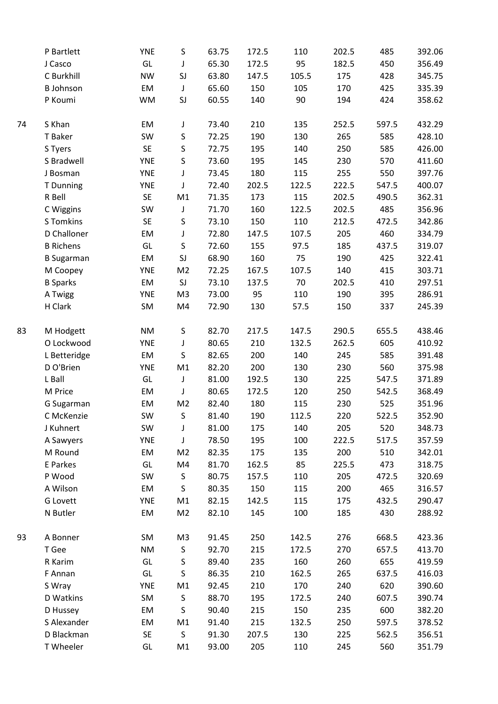| P Bartlett        | <b>YNE</b> | $\sf S$        | 63.75 | 172.5 | 110   | 202.5 | 485   | 392.06 |
|-------------------|------------|----------------|-------|-------|-------|-------|-------|--------|
| J Casco           | GL         | J              | 65.30 | 172.5 | 95    | 182.5 | 450   | 356.49 |
| C Burkhill        | <b>NW</b>  | SJ             | 63.80 | 147.5 | 105.5 | 175   | 428   | 345.75 |
| <b>B</b> Johnson  | EM         | J              | 65.60 | 150   | 105   | 170   | 425   | 335.39 |
| P Koumi           | WM         | SJ             | 60.55 | 140   | 90    | 194   | 424   | 358.62 |
| S Khan            | EM         | J              | 73.40 | 210   | 135   | 252.5 | 597.5 | 432.29 |
| T Baker           | SW         | $\sf S$        | 72.25 | 190   | 130   | 265   | 585   | 428.10 |
| S Tyers           | SE         | $\sf S$        | 72.75 | 195   | 140   | 250   | 585   | 426.00 |
| S Bradwell        | <b>YNE</b> | $\sf S$        | 73.60 | 195   | 145   | 230   | 570   | 411.60 |
| J Bosman          | <b>YNE</b> | J              | 73.45 | 180   | 115   | 255   | 550   | 397.76 |
| T Dunning         | <b>YNE</b> | J              | 72.40 | 202.5 | 122.5 | 222.5 | 547.5 | 400.07 |
| R Bell            | SE         | M1             | 71.35 | 173   | 115   | 202.5 | 490.5 | 362.31 |
| C Wiggins         | SW         | J              | 71.70 | 160   | 122.5 | 202.5 | 485   | 356.96 |
| <b>S</b> Tomkins  | SE         | $\sf S$        | 73.10 | 150   | 110   | 212.5 | 472.5 | 342.86 |
| D Challoner       | EM         | J              | 72.80 | 147.5 | 107.5 | 205   | 460   | 334.79 |
| <b>B</b> Richens  | GL         | $\sf S$        | 72.60 | 155   | 97.5  | 185   | 437.5 | 319.07 |
| <b>B</b> Sugarman | EM         | SJ             | 68.90 | 160   | 75    | 190   | 425   | 322.41 |
| M Coopey          | <b>YNE</b> | M <sub>2</sub> | 72.25 | 167.5 | 107.5 | 140   | 415   | 303.71 |
| <b>B</b> Sparks   | EM         | SJ             | 73.10 | 137.5 | 70    | 202.5 | 410   | 297.51 |
| A Twigg           | <b>YNE</b> | M <sub>3</sub> | 73.00 | 95    | 110   | 190   | 395   | 286.91 |
| H Clark           | SM         | M4             | 72.90 | 130   | 57.5  | 150   | 337   | 245.39 |
| M Hodgett         | <b>NM</b>  | $\sf S$        | 82.70 | 217.5 | 147.5 | 290.5 | 655.5 | 438.46 |
| O Lockwood        | <b>YNE</b> | J              | 80.65 | 210   | 132.5 | 262.5 | 605   | 410.92 |
| L Betteridge      | EM         | S              | 82.65 | 200   | 140   | 245   | 585   | 391.48 |
| D O'Brien         | <b>YNE</b> | M1             | 82.20 | 200   | 130   | 230   | 560   | 375.98 |
| L Ball            | GL         | J              | 81.00 | 192.5 | 130   | 225   | 547.5 | 371.89 |
| M Price           | EM         | J              | 80.65 | 172.5 | 120   | 250   | 542.5 | 368.49 |
| G Sugarman        | EM         | M <sub>2</sub> | 82.40 | 180   | 115   | 230   | 525   | 351.96 |
| C McKenzie        | SW         | S              | 81.40 | 190   | 112.5 | 220   | 522.5 | 352.90 |
| J Kuhnert         | SW         | J              | 81.00 | 175   | 140   | 205   | 520   | 348.73 |
| A Sawyers         | <b>YNE</b> | J              | 78.50 | 195   | 100   | 222.5 | 517.5 | 357.59 |
| M Round           | EM         | M <sub>2</sub> | 82.35 | 175   | 135   | 200   | 510   | 342.01 |
| E Parkes          | GL         | M4             | 81.70 | 162.5 | 85    | 225.5 | 473   | 318.75 |
| P Wood            | SW         | S              | 80.75 | 157.5 | 110   | 205   | 472.5 | 320.69 |
| A Wilson          | EM         | S              | 80.35 | 150   | 115   | 200   | 465   | 316.57 |
| <b>G</b> Lovett   | <b>YNE</b> | M1             | 82.15 | 142.5 | 115   | 175   | 432.5 | 290.47 |
| N Butler          | EM         | M <sub>2</sub> | 82.10 | 145   | 100   | 185   | 430   | 288.92 |
| A Bonner          | SM         | M3             | 91.45 | 250   | 142.5 | 276   | 668.5 | 423.36 |
| T Gee             | <b>NM</b>  | $\sf S$        | 92.70 | 215   | 172.5 | 270   | 657.5 | 413.70 |
| R Karim           | GL         | $\sf S$        | 89.40 | 235   | 160   | 260   | 655   | 419.59 |
| F Annan           | GL         | S              | 86.35 | 210   | 162.5 | 265   | 637.5 | 416.03 |
| S Wray            | <b>YNE</b> | M1             | 92.45 | 210   | 170   | 240   | 620   | 390.60 |
| D Watkins         | SM         | S              | 88.70 | 195   | 172.5 | 240   | 607.5 | 390.74 |
| D Hussey          | EM         | S              | 90.40 | 215   | 150   | 235   | 600   | 382.20 |
| S Alexander       | EM         | M1             | 91.40 | 215   | 132.5 | 250   | 597.5 | 378.52 |
| D Blackman        | SE         | $\sf S$        | 91.30 | 207.5 | 130   | 225   | 562.5 | 356.51 |
| T Wheeler         | GL         | M1             | 93.00 | 205   | 110   | 245   | 560   | 351.79 |
|                   |            |                |       |       |       |       |       |        |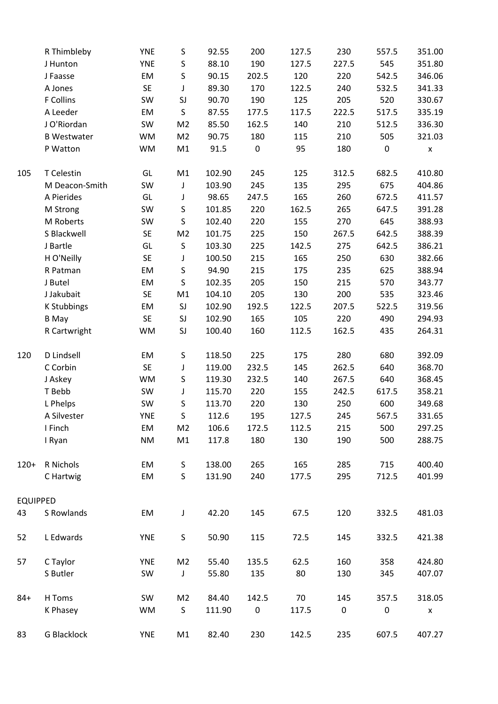|                                 | R Thimbleby        | <b>YNE</b> | S              | 92.55          | 200          | 127.5 | 230   | 557.5                                                                                                                                                   | 351.00             |
|---------------------------------|--------------------|------------|----------------|----------------|--------------|-------|-------|---------------------------------------------------------------------------------------------------------------------------------------------------------|--------------------|
|                                 |                    | <b>YNE</b> | $\sf S$        |                |              | 127.5 | 227.5 |                                                                                                                                                         |                    |
|                                 | J Hunton           | EM         | $\sf S$        | 88.10<br>90.15 | 190<br>202.5 | 120   | 220   |                                                                                                                                                         | 351.80<br>346.06   |
|                                 | J Faasse           |            |                |                |              |       |       |                                                                                                                                                         | 341.33             |
|                                 | A Jones            | <b>SE</b>  | J              | 89.30          | 170          | 122.5 | 240   |                                                                                                                                                         |                    |
|                                 | F Collins          | SW         | SJ             | 90.70          | 190          | 125   | 205   |                                                                                                                                                         | 330.67             |
|                                 | A Leeder           | EM         | $\sf S$        | 87.55          | 177.5        | 117.5 | 222.5 |                                                                                                                                                         | 335.19             |
|                                 | JO'Riordan         | SW         | M <sub>2</sub> | 85.50          | 162.5        | 140   | 210   |                                                                                                                                                         | 336.30             |
|                                 | <b>B Westwater</b> | WM         | M <sub>2</sub> | 90.75          | 180          | 115   | 210   |                                                                                                                                                         | 321.03             |
|                                 | P Watton           | WM         | M1             | 91.5           | 0            | 95    | 180   |                                                                                                                                                         | $\pmb{\mathsf{x}}$ |
| 105                             | T Celestin         | GL         | M1             | 102.90         | 245          | 125   | 312.5 | 682.5                                                                                                                                                   | 410.80             |
|                                 | M Deacon-Smith     | SW         | J              | 103.90         | 245          | 135   | 295   | 675                                                                                                                                                     | 404.86             |
| <b>EQUIPPED</b>                 | A Pierides         | GL         | J              | 98.65          | 247.5        | 165   | 260   | 672.5                                                                                                                                                   | 411.57             |
|                                 | M Strong           | SW         | $\sf S$        | 101.85         | 220          | 162.5 | 265   | 647.5                                                                                                                                                   | 391.28             |
|                                 | M Roberts          | SW         | S              | 102.40         | 220          | 155   | 270   | 645                                                                                                                                                     | 388.93             |
|                                 | S Blackwell        | <b>SE</b>  | M <sub>2</sub> | 101.75         | 225          | 150   | 267.5 | 642.5                                                                                                                                                   | 388.39             |
| 120<br>$120+$<br>43<br>52<br>57 | J Bartle           | GL         | $\sf S$        | 103.30         | 225          | 142.5 | 275   | 642.5                                                                                                                                                   | 386.21             |
|                                 | H O'Neilly         | SE         | J              | 100.50         | 215          | 165   | 250   | 630                                                                                                                                                     | 382.66             |
|                                 | R Patman           | EM         | $\sf S$        | 94.90          | 215          | 175   | 235   | 625                                                                                                                                                     | 388.94             |
|                                 | J Butel            | EM         | $\sf S$        | 102.35         | 205          | 150   | 215   | 570                                                                                                                                                     | 343.77             |
|                                 | J Jakubait         | <b>SE</b>  | M1             | 104.10         | 205          | 130   | 200   | 535                                                                                                                                                     | 323.46             |
|                                 | K Stubbings        | EM         | SJ             | 102.90         | 192.5        | 122.5 | 207.5 | 522.5                                                                                                                                                   | 319.56             |
|                                 | <b>B</b> May       | <b>SE</b>  | SJ             | 102.90         | 165          | 105   | 220   | 490                                                                                                                                                     | 294.93             |
|                                 | R Cartwright       | WM         | SJ             | 100.40         | 160          | 112.5 | 162.5 | 435                                                                                                                                                     | 264.31             |
|                                 | D Lindsell         | EM         | S              | 118.50         | 225          | 175   | 280   | 680                                                                                                                                                     | 392.09             |
|                                 | C Corbin           | SE         | J              | 119.00         | 232.5        | 145   | 262.5 | 640                                                                                                                                                     | 368.70             |
|                                 | J Askey            | WM         | $\sf S$        | 119.30         | 232.5        | 140   | 267.5 | 640                                                                                                                                                     | 368.45             |
|                                 | T Bebb             | SW         | J              | 115.70         | 220          | 155   | 242.5 | 617.5                                                                                                                                                   | 358.21             |
|                                 | L Phelps           | SW         | $\sf S$        | 113.70         | 220          | 130   | 250   | 600                                                                                                                                                     | 349.68             |
|                                 | A Silvester        | <b>YNE</b> | $\sf S$        | 112.6          | 195          | 127.5 | 245   | 567.5                                                                                                                                                   | 331.65             |
|                                 | I Finch            | EM         | M <sub>2</sub> | 106.6          | 172.5        | 112.5 | 215   |                                                                                                                                                         | 297.25             |
|                                 | I Ryan             | <b>NM</b>  | M1             | 117.8          | 180          | 130   | 190   | 545<br>542.5<br>532.5<br>520<br>517.5<br>512.5<br>505<br>$\pmb{0}$<br>500<br>500<br>715<br>712.5<br>332.5<br>332.5<br>358<br>345<br>357.5<br>0<br>607.5 | 288.75             |
|                                 | R Nichols          | EM         | S              | 138.00         | 265          | 165   | 285   |                                                                                                                                                         | 400.40             |
|                                 | C Hartwig          | EM         | S              | 131.90         | 240          | 177.5 | 295   |                                                                                                                                                         | 401.99             |
|                                 |                    |            |                |                |              |       |       |                                                                                                                                                         |                    |
|                                 | S Rowlands         | EM         | J              | 42.20          | 145          | 67.5  | 120   |                                                                                                                                                         | 481.03             |
|                                 | L Edwards          | <b>YNE</b> | S              | 50.90          | 115          | 72.5  | 145   |                                                                                                                                                         | 421.38             |
|                                 | C Taylor           | <b>YNE</b> | M <sub>2</sub> | 55.40          | 135.5        | 62.5  | 160   |                                                                                                                                                         | 424.80             |
|                                 | S Butler           | SW         | $\mathsf J$    | 55.80          | 135          | 80    | 130   |                                                                                                                                                         | 407.07             |
| $84 +$                          | H Toms             | SW         | M <sub>2</sub> | 84.40          | 142.5        | 70    | 145   |                                                                                                                                                         | 318.05             |
|                                 | K Phasey           | <b>WM</b>  | S              | 111.90         | $\mathbf 0$  | 117.5 | 0     |                                                                                                                                                         | X                  |
| 83                              | G Blacklock        | YNE        | M1             | 82.40          | 230          | 142.5 | 235   |                                                                                                                                                         | 407.27             |